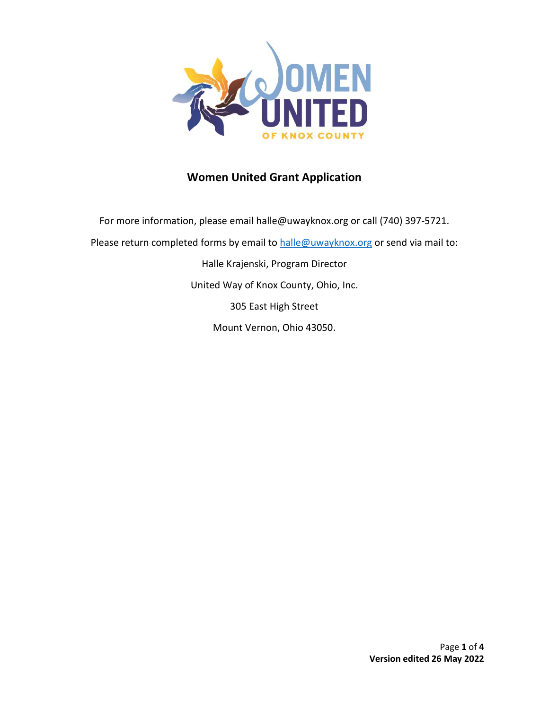

## **Women United Grant Application**

For more information, please email halle@uwayknox.org or call (740) 397-5721. Please return completed forms by email to [halle@uwayknox.org](mailto:halle@uwayknox.org) or send via mail to: Halle Krajenski, Program Director United Way of Knox County, Ohio, Inc. 305 East High Street Mount Vernon, Ohio 43050.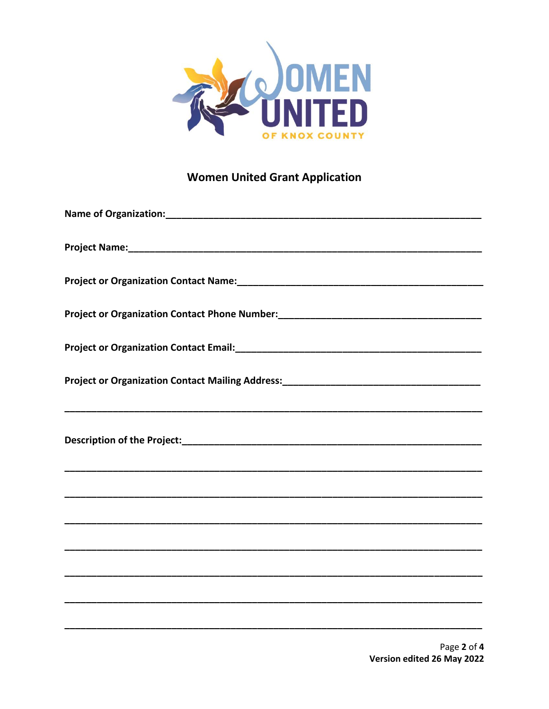

## **Women United Grant Application**

| Project or Organization Contact Phone Number: ___________________________________ |
|-----------------------------------------------------------------------------------|
|                                                                                   |
|                                                                                   |
|                                                                                   |
|                                                                                   |
|                                                                                   |
|                                                                                   |
|                                                                                   |
|                                                                                   |
|                                                                                   |
|                                                                                   |
|                                                                                   |
|                                                                                   |
|                                                                                   |
|                                                                                   |
|                                                                                   |
|                                                                                   |
|                                                                                   |
|                                                                                   |
|                                                                                   |
|                                                                                   |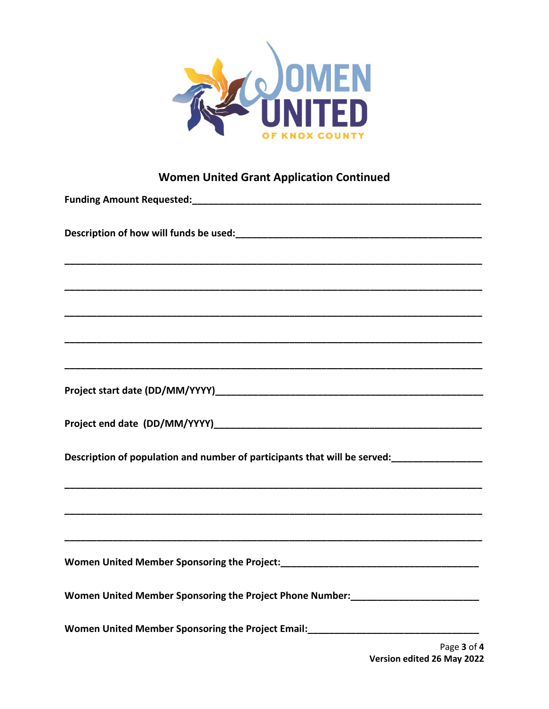

## **Women United Grant Application Continued**

| Women United Member Sponsoring the Project Phone Number: Manuscription United Member Sponsoring the Project Phone Number: |
|---------------------------------------------------------------------------------------------------------------------------|
| Women United Member Sponsoring the Project Email: Momen United Member Sponsoring the Project Email:                       |
| Page 3 of 4<br>Version edited 26 May 2022                                                                                 |